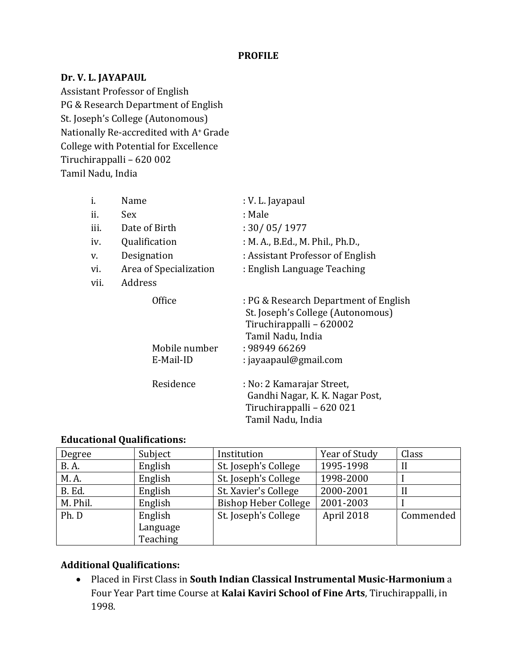## **PROFILE**

## **Dr. V. L. JAYAPAUL**

Assistant Professor of English PG & Research Department of English St. Joseph's College (Autonomous) Nationally Re-accredited with A+ Grade College with Potential for Excellence Tiruchirappalli – 620 002 Tamil Nadu, India

| i.   | Name                   | : V. L. Jayapaul                                                                                                            |  |
|------|------------------------|-----------------------------------------------------------------------------------------------------------------------------|--|
| ii.  | Sex                    | : Male                                                                                                                      |  |
| iii. | Date of Birth          | : 30/05/1977                                                                                                                |  |
| iv.  | Qualification          | : M. A., B.Ed., M. Phil., Ph.D.,                                                                                            |  |
| v.   | Designation            | : Assistant Professor of English                                                                                            |  |
| vi.  | Area of Specialization | : English Language Teaching                                                                                                 |  |
| vii. | Address                |                                                                                                                             |  |
|      | Office                 | : PG & Research Department of English<br>St. Joseph's College (Autonomous)<br>Tiruchirappalli - 620002<br>Tamil Nadu, India |  |
|      | Mobile number          | : 98949 66269                                                                                                               |  |
|      | E-Mail-ID              | : jayaapaul@gmail.com                                                                                                       |  |
|      | Residence              | : No: 2 Kamarajar Street,<br>Gandhi Nagar, K. K. Nagar Post,<br>Tiruchirappalli - 620 021<br>Tamil Nadu, India              |  |

# **Educational Qualifications:**

| Degree      | Subject  | Institution                 | Year of Study | Class     |
|-------------|----------|-----------------------------|---------------|-----------|
| <b>B.A.</b> | English  | St. Joseph's College        | 1995-1998     | Н         |
| M. A.       | English  | St. Joseph's College        | 1998-2000     |           |
| B. Ed.      | English  | St. Xavier's College        | 2000-2001     | Н         |
| M. Phil.    | English  | <b>Bishop Heber College</b> | 2001-2003     |           |
| Ph. D       | English  | St. Joseph's College        | April 2018    | Commended |
|             | Language |                             |               |           |
|             | Teaching |                             |               |           |

## **Additional Qualifications:**

 Placed in First Class in **South Indian Classical Instrumental Music-Harmonium** a Four Year Part time Course at **Kalai Kaviri School of Fine Arts**, Tiruchirappalli, in 1998.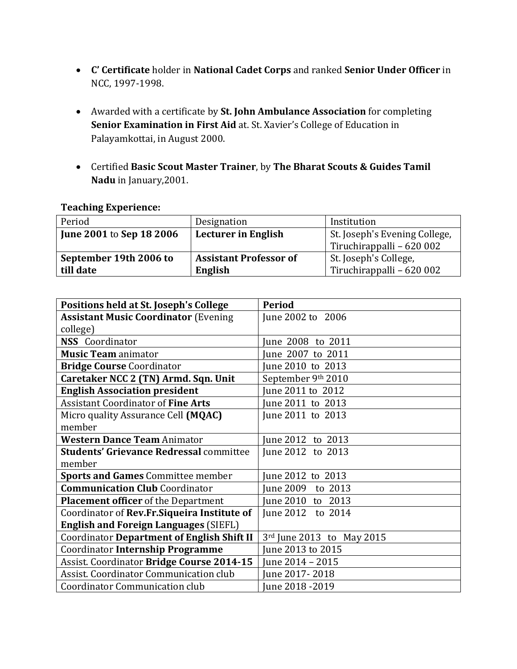- **C' Certificate** holder in **National Cadet Corps** and ranked **Senior Under Officer** in NCC, 1997-1998.
- Awarded with a certificate by **St. John Ambulance Association** for completing **Senior Examination in First Aid** at. St. Xavier's College of Education in Palayamkottai, in August 2000.
- Certified **Basic Scout Master Trainer**, by **The Bharat Scouts & Guides Tamil Nadu** in January,2001.

## **Teaching Experience:**

| Period                          | Designation                                                 | Institution               |
|---------------------------------|-------------------------------------------------------------|---------------------------|
| <b>June 2001 to Sep 18 2006</b> | <b>Lecturer in English</b><br>St. Joseph's Evening College, |                           |
|                                 |                                                             | Tiruchirappalli - 620 002 |
| September 19th 2006 to          | <b>Assistant Professor of</b>                               | St. Joseph's College,     |
| till date                       | English                                                     | Tiruchirappalli - 620 002 |

| Positions held at St. Joseph's College         | <b>Period</b>             |
|------------------------------------------------|---------------------------|
| <b>Assistant Music Coordinator (Evening</b>    | June 2002 to 2006         |
| college)                                       |                           |
| <b>NSS</b> Coordinator                         | une 2008 to 2011          |
| <b>Music Team animator</b>                     | June 2007 to 2011         |
| <b>Bridge Course Coordinator</b>               | June 2010 to 2013         |
| Caretaker NCC 2 (TN) Armd. Sqn. Unit           | September 9th 2010        |
| <b>English Association president</b>           | June 2011 to 2012         |
| <b>Assistant Coordinator of Fine Arts</b>      | June 2011 to 2013         |
| Micro quality Assurance Cell (MQAC)            | June 2011 to 2013         |
| member                                         |                           |
| <b>Western Dance Team Animator</b>             | June 2012 to 2013         |
| <b>Students' Grievance Redressal committee</b> | June 2012 to 2013         |
| member                                         |                           |
| <b>Sports and Games Committee member</b>       | June 2012 to 2013         |
| <b>Communication Club Coordinator</b>          | une 2009<br>to 2013       |
| <b>Placement officer</b> of the Department     | June 2010 to 2013         |
| Coordinator of Rev.Fr.Siqueira Institute of    | June 2012 to 2014         |
| <b>English and Foreign Languages (SIEFL)</b>   |                           |
| Coordinator Department of English Shift II     | 3rd June 2013 to May 2015 |
| Coordinator Internship Programme               | June 2013 to 2015         |
| Assist. Coordinator Bridge Course 2014-15      | June 2014 - 2015          |
| Assist. Coordinator Communication club         | June 2017-2018            |
| Coordinator Communication club                 | June 2018 - 2019          |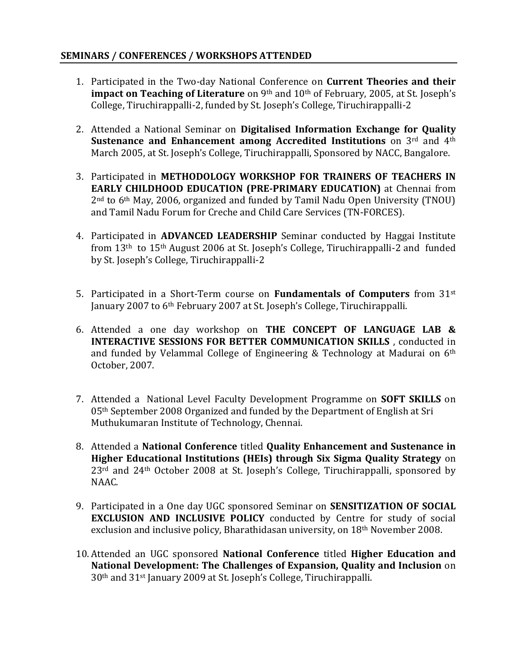## **SEMINARS / CONFERENCES / WORKSHOPS ATTENDED**

- 1. Participated in the Two-day National Conference on **Current Theories and their impact on Teaching of Literature** on 9<sup>th</sup> and 10<sup>th</sup> of February, 2005, at St. Joseph's College, Tiruchirappalli-2, funded by St. Joseph's College, Tiruchirappalli-2
- 2. Attended a National Seminar on **Digitalised Information Exchange for Quality Sustenance and Enhancement among Accredited Institutions** on 3rd and 4<sup>th</sup> March 2005, at St. Joseph's College, Tiruchirappalli, Sponsored by NACC, Bangalore.
- 3. Participated in **METHODOLOGY WORKSHOP FOR TRAINERS OF TEACHERS IN EARLY CHILDHOOD EDUCATION (PRE-PRIMARY EDUCATION)** at Chennai from 2nd to 6th May, 2006, organized and funded by Tamil Nadu Open University (TNOU) and Tamil Nadu Forum for Creche and Child Care Services (TN-FORCES).
- 4. Participated in **ADVANCED LEADERSHIP** Seminar conducted by Haggai Institute from 13th to 15th August 2006 at St. Joseph's College, Tiruchirappalli-2 and funded by St. Joseph's College, Tiruchirappalli-2
- 5. Participated in a Short-Term course on **Fundamentals of Computers** from 31st January 2007 to 6th February 2007 at St. Joseph's College, Tiruchirappalli.
- 6. Attended a one day workshop on **THE CONCEPT OF LANGUAGE LAB & INTERACTIVE SESSIONS FOR BETTER COMMUNICATION SKILLS** , conducted in and funded by Velammal College of Engineering & Technology at Madurai on 6th October, 2007.
- 7. Attended a National Level Faculty Development Programme on **SOFT SKILLS** on 05th September 2008 Organized and funded by the Department of English at Sri Muthukumaran Institute of Technology, Chennai.
- 8. Attended a **National Conference** titled **Quality Enhancement and Sustenance in Higher Educational Institutions (HEIs) through Six Sigma Quality Strategy** on 23rd and 24th October 2008 at St. Joseph's College, Tiruchirappalli, sponsored by NAAC.
- 9. Participated in a One day UGC sponsored Seminar on **SENSITIZATION OF SOCIAL EXCLUSION AND INCLUSIVE POLICY** conducted by Centre for study of social exclusion and inclusive policy, Bharathidasan university, on 18<sup>th</sup> November 2008.
- 10. Attended an UGC sponsored **National Conference** titled **Higher Education and National Development: The Challenges of Expansion, Quality and Inclusion** on 30th and 31st January 2009 at St. Joseph's College, Tiruchirappalli.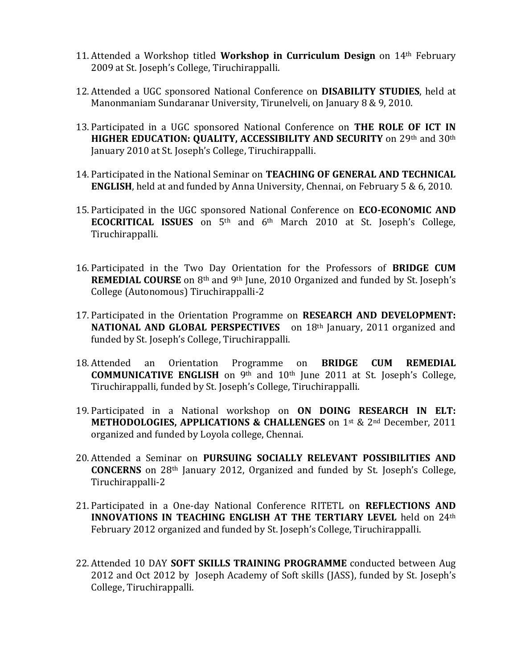- 11. Attended a Workshop titled **Workshop in Curriculum Design** on 14th February 2009 at St. Joseph's College, Tiruchirappalli.
- 12. Attended a UGC sponsored National Conference on **DISABILITY STUDIES**, held at Manonmaniam Sundaranar University, Tirunelveli, on January 8 & 9, 2010.
- 13. Participated in a UGC sponsored National Conference on **THE ROLE OF ICT IN HIGHER EDUCATION: QUALITY, ACCESSIBILITY AND SECURITY** on 29th and 30th January 2010 at St. Joseph's College, Tiruchirappalli.
- 14. Participated in the National Seminar on **TEACHING OF GENERAL AND TECHNICAL ENGLISH**, held at and funded by Anna University, Chennai, on February 5 & 6, 2010.
- 15. Participated in the UGC sponsored National Conference on **ECO-ECONOMIC AND ECOCRITICAL ISSUES** on 5th and 6th March 2010 at St. Joseph's College, Tiruchirappalli.
- 16. Participated in the Two Day Orientation for the Professors of **BRIDGE CUM REMEDIAL COURSE** on 8<sup>th</sup> and 9<sup>th</sup> June, 2010 Organized and funded by St. Joseph's College (Autonomous) Tiruchirappalli-2
- 17. Participated in the Orientation Programme on **RESEARCH AND DEVELOPMENT: NATIONAL AND GLOBAL PERSPECTIVES** on 18<sup>th</sup> January, 2011 organized and funded by St. Joseph's College, Tiruchirappalli.
- 18. Attended an Orientation Programme on **BRIDGE CUM REMEDIAL COMMUNICATIVE ENGLISH** on 9th and 10th June 2011 at St. Joseph's College, Tiruchirappalli, funded by St. Joseph's College, Tiruchirappalli.
- 19. Participated in a National workshop on **ON DOING RESEARCH IN ELT: METHODOLOGIES, APPLICATIONS & CHALLENGES** on 1st & 2<sup>nd</sup> December, 2011 organized and funded by Loyola college, Chennai.
- 20. Attended a Seminar on **PURSUING SOCIALLY RELEVANT POSSIBILITIES AND CONCERNS** on 28th January 2012, Organized and funded by St. Joseph's College, Tiruchirappalli-2
- 21. Participated in a One-day National Conference RITETL on **REFLECTIONS AND INNOVATIONS IN TEACHING ENGLISH AT THE TERTIARY LEVEL** held on 24th February 2012 organized and funded by St. Joseph's College, Tiruchirappalli.
- 22. Attended 10 DAY **SOFT SKILLS TRAINING PROGRAMME** conducted between Aug 2012 and Oct 2012 by Joseph Academy of Soft skills (JASS), funded by St. Joseph's College, Tiruchirappalli.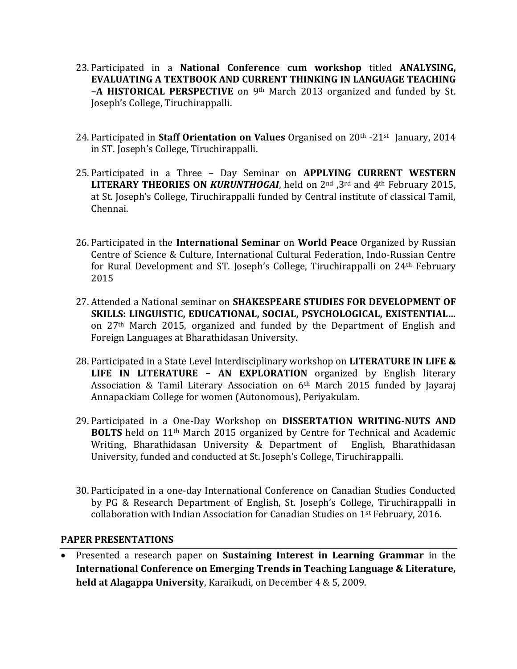- 23. Participated in a **National Conference cum workshop** titled **ANALYSING, EVALUATING A TEXTBOOK AND CURRENT THINKING IN LANGUAGE TEACHING –A HISTORICAL PERSPECTIVE** on 9th March 2013 organized and funded by St. Joseph's College, Tiruchirappalli.
- 24. Participated in **Staff Orientation on Values** Organised on 20<sup>th</sup> -21<sup>st</sup> January, 2014 in ST. Joseph's College, Tiruchirappalli.
- 25. Participated in a Three Day Seminar on **APPLYING CURRENT WESTERN LITERARY THEORIES ON** *KURUNTHOGAI*, held on 2nd ,3rd and 4th February 2015, at St. Joseph's College, Tiruchirappalli funded by Central institute of classical Tamil, Chennai.
- 26. Participated in the **International Seminar** on **World Peace** Organized by Russian Centre of Science & Culture, International Cultural Federation, Indo-Russian Centre for Rural Development and ST. Joseph's College, Tiruchirappalli on 24th February 2015
- 27. Attended a National seminar on **SHAKESPEARE STUDIES FOR DEVELOPMENT OF SKILLS: LINGUISTIC, EDUCATIONAL, SOCIAL, PSYCHOLOGICAL, EXISTENTIAL…** on 27th March 2015, organized and funded by the Department of English and Foreign Languages at Bharathidasan University.
- 28. Participated in a State Level Interdisciplinary workshop on **LITERATURE IN LIFE & LIFE IN LITERATURE – AN EXPLORATION** organized by English literary Association & Tamil Literary Association on 6th March 2015 funded by Jayaraj Annapackiam College for women (Autonomous), Periyakulam.
- 29. Participated in a One-Day Workshop on **DISSERTATION WRITING-NUTS AND BOLTS** held on 11th March 2015 organized by Centre for Technical and Academic Writing, Bharathidasan University & Department of English, Bharathidasan University, funded and conducted at St. Joseph's College, Tiruchirappalli.
- 30. Participated in a one-day International Conference on Canadian Studies Conducted by PG & Research Department of English, St. Joseph's College, Tiruchirappalli in collaboration with Indian Association for Canadian Studies on 1st February, 2016.

#### **PAPER PRESENTATIONS**

 Presented a research paper on **Sustaining Interest in Learning Grammar** in the **International Conference on Emerging Trends in Teaching Language & Literature, held at Alagappa University**, Karaikudi, on December 4 & 5, 2009.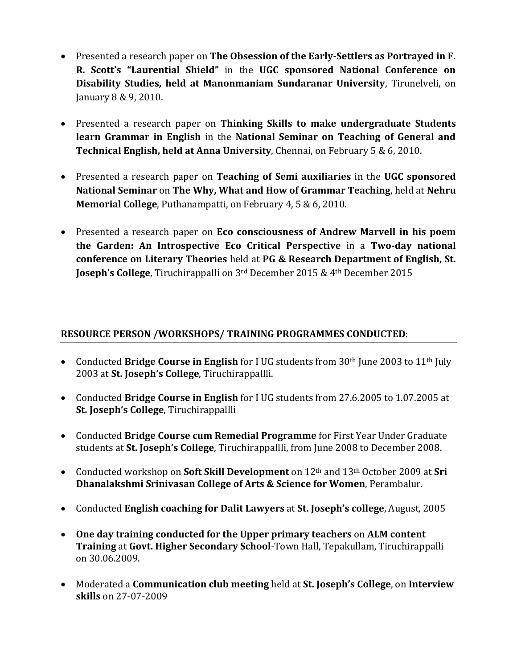- Presented a research paper on **The Obsession of the Early-Settlers as Portrayed in F. R. Scott's "Laurential Shield"** in the UGC sponsored National Conference on **Disability Studies, held at Manonmaniam Sundaranar University**, Tirunelveli, on January 8 & 9, 2010.
- Presented a research paper on **Thinking Skills to make undergraduate Students learn Grammar in English** in the **National Seminar on Teaching of General and Technical English, held at Anna University**, Chennai, on February 5 & 6, 2010.
- Presented a research paper on **Teaching of Semi auxiliaries** in the **UGC sponsored National Seminar** on **The Why, What and How of Grammar Teaching**, held at **Nehru Memorial College**, Puthanampatti, on February 4, 5 & 6, 2010.
- Presented a research paper on **Eco consciousness of Andrew Marvell in his poem the Garden: An Introspective Eco Critical Perspective** in a **Two-day national conference on Literary Theories** held at **PG & Research Department of English, St. Joseph's College**, Tiruchirappalli on 3rd December 2015 & 4th December 2015

# **RESOURCE PERSON /WORKSHOPS/ TRAINING PROGRAMMES CONDUCTED**:

- Conducted **Bridge Course in English** for I UG students from 30<sup>th</sup> June 2003 to 11<sup>th</sup> July 2003 at **St. Joseph's College**, Tiruchirappallli.
- Conducted **Bridge Course in English** for I UG students from 27.6.2005 to 1.07.2005 at **St. Joseph's College**, Tiruchirappallli
- Conducted **Bridge Course cum Remedial Programme** for First Year Under Graduate students at **St. Joseph's College**, Tiruchirappallli, from June 2008 to December 2008.
- Conducted workshop on **Soft Skill Development** on 12th and 13th October 2009 at **Sri Dhanalakshmi Srinivasan College of Arts & Science for Women**, Perambalur.
- Conducted **English coaching for Dalit Lawyers** at **St. Joseph's college**, August, 2005
- **One day training conducted for the Upper primary teachers** on **ALM content Training** at **Govt. Higher Secondary School**-Town Hall, Tepakullam, Tiruchirappalli on 30.06.2009.
- Moderated a **Communication club meeting** held at **St. Joseph's College**, on **Interview skills** on 27-07-2009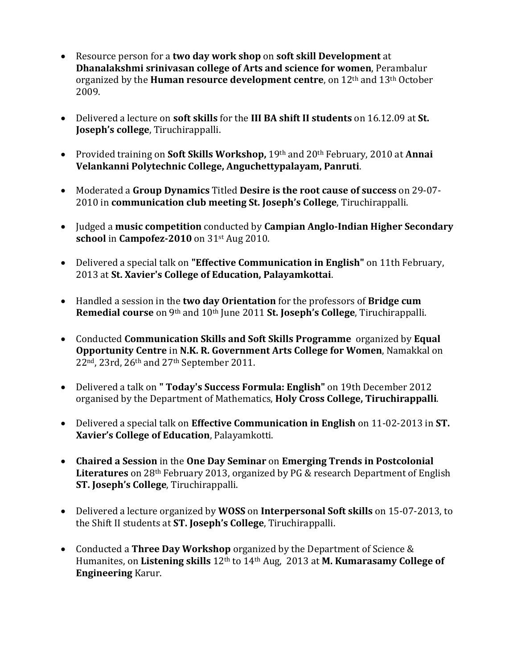- Resource person for a **two day work shop** on **soft skill Development** at **Dhanalakshmi srinivasan college of Arts and science for women**, Perambalur organized by the **Human resource development centre**, on 12th and 13th October 2009.
- Delivered a lecture on **soft skills** for the **III BA shift II students** on 16.12.09 at **St. Joseph's college**, Tiruchirappalli.
- Provided training on **Soft Skills Workshop,** 19th and 20th February, 2010 at **Annai Velankanni Polytechnic College, Anguchettypalayam, Panruti**.
- Moderated a **Group Dynamics** Titled **Desire is the root cause of success** on 29-07- 2010 in **communication club meeting St. Joseph's College**, Tiruchirappalli.
- Judged a **music competition** conducted by **Campian Anglo-Indian Higher Secondary school** in **Campofez-2010** on 31st Aug 2010.
- Delivered a special talk on **"Effective Communication in English"** on 11th February, 2013 at **St. Xavier's College of Education, Palayamkottai**.
- Handled a session in the **two day Orientation** for the professors of **Bridge cum Remedial course** on 9th and 10th June 2011 **St. Joseph's College**, Tiruchirappalli.
- Conducted **Communication Skills and Soft Skills Programme** organized by **Equal Opportunity Centre** in **N.K. R. Government Arts College for Women**, Namakkal on 22nd, 23rd, 26th and 27th September 2011.
- Delivered a talk on **" Today's Success Formula: English"** on 19th December 2012 organised by the Department of Mathematics, **Holy Cross College, Tiruchirappalli**.
- Delivered a special talk on **Effective Communication in English** on 11-02-2013 in **ST. Xavier's College of Education**, Palayamkotti.
- **Chaired a Session** in the **One Day Seminar** on **Emerging Trends in Postcolonial Literatures** on 28th February 2013, organized by PG & research Department of English **ST. Joseph's College**, Tiruchirappalli.
- Delivered a lecture organized by **WOSS** on **Interpersonal Soft skills** on 15-07-2013, to the Shift II students at **ST. Joseph's College**, Tiruchirappalli.
- Conducted a **Three Day Workshop** organized by the Department of Science & Humanites, on **Listening skills** 12th to 14th Aug, 2013 at **M. Kumarasamy College of Engineering** Karur.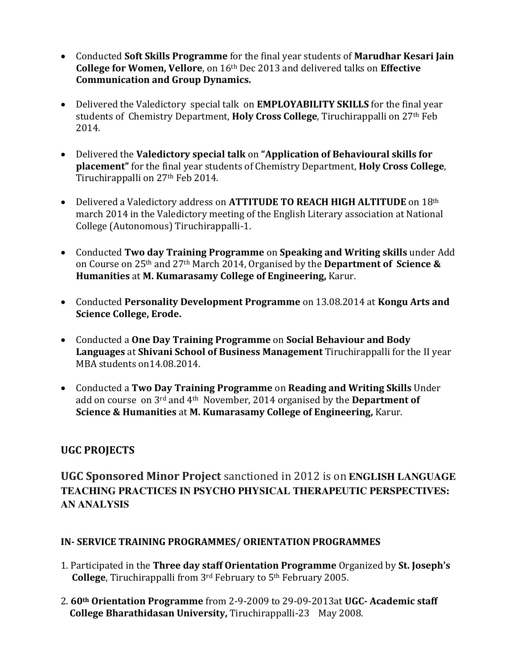- Conducted **Soft Skills Programme** for the final year students of **Marudhar Kesari Jain College for Women, Vellore**, on 16th Dec 2013 and delivered talks on **Effective Communication and Group Dynamics.**
- Delivered the Valedictory special talk on **EMPLOYABILITY SKILLS** for the final year students of Chemistry Department, **Holy Cross College**, Tiruchirappalli on 27th Feb 2014.
- Delivered the **Valedictory special talk** on "Application of Behavioural skills for **placement**" for the final year students of Chemistry Department, **Holy Cross College**, Tiruchirappalli on 27<sup>th</sup> Feb 2014.
- Delivered a Valedictory address on **ATTITUDE TO REACH HIGH ALTITUDE** on 18th march 2014 in the Valedictory meeting of the English Literary association at National College (Autonomous) Tiruchirappalli-1.
- Conducted **Two day Training Programme** on **Speaking and Writing skills** under Add on Course on 25th and 27th March 2014, Organised by the **Department of Science & Humanities** at **M. Kumarasamy College of Engineering,** Karur.
- Conducted **Personality Development Programme** on 13.08.2014 at **Kongu Arts and Science College, Erode.**
- Conducted a **One Day Training Programme** on **Social Behaviour and Body Languages** at **Shivani School of Business Management** Tiruchirappalli for the II year MBA students on14.08.2014.
- Conducted a **Two Day Training Programme** on **Reading and Writing Skills** Under add on course on 3rd and 4th November, 2014 organised by the **Department of Science & Humanities** at **M. Kumarasamy College of Engineering,** Karur.

# **UGC PROJECTS**

# **UGC Sponsored Minor Project** sanctioned in 2012 is on **ENGLISH LANGUAGE TEACHING PRACTICES IN PSYCHO PHYSICAL THERAPEUTIC PERSPECTIVES: AN ANALYSIS**

## **IN- SERVICE TRAINING PROGRAMMES/ ORIENTATION PROGRAMMES**

- 1. Participated in the **Three day staff Orientation Programme** Organized by **St. Joseph's College**, Tiruchirappalli from 3rd February to 5th February 2005.
- 2. **60th Orientation Programme** from 2-9-2009 to 29-09-2013at **UGC- Academic staff College Bharathidasan University,** Tiruchirappalli-23 May 2008.